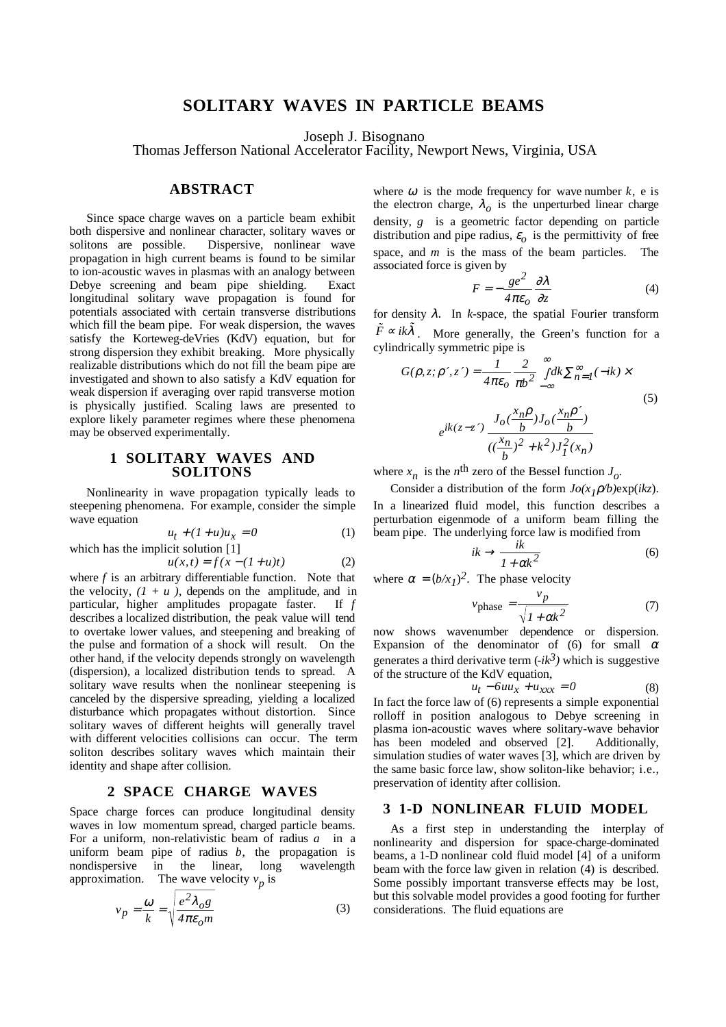# **SOLITARY WAVES IN PARTICLE BEAMS**

Joseph J. Bisognano

Thomas Jefferson National Accelerator Facility, Newport News, Virginia, USA

## **ABSTRACT**

Since space charge waves on a particle beam exhibit both dispersive and nonlinear character, solitary waves or solitons are possible. Dispersive, nonlinear wave propagation in high current beams is found to be similar to ion-acoustic waves in plasmas with an analogy between Debye screening and beam pipe shielding. Exact longitudinal solitary wave propagation is found for potentials associated with certain transverse distributions which fill the beam pipe. For weak dispersion, the waves satisfy the Korteweg-deVries (KdV) equation, but for strong dispersion they exhibit breaking. More physically realizable distributions which do not fill the beam pipe are investigated and shown to also satisfy a KdV equation for weak dispersion if averaging over rapid transverse motion is physically justified. Scaling laws are presented to explore likely parameter regimes where these phenomena may be observed experimentally.

## **1 SOLITARY WAVES AND SOLITONS**

Nonlinearity in wave propagation typically leads to steepening phenomena. For example, consider the simple wave equation

$$
u_t + (1+u)u_x = 0 \tag{1}
$$

which has the implicit solution 
$$
[1]
$$

$$
u(x,t) = f(x - (1+u)t)
$$
 (2)

where *f* is an arbitrary differentiable function. Note that the velocity,  $(I + u)$ , depends on the amplitude, and in particular, higher amplitudes propagate faster. If *f* describes a localized distribution, the peak value will tend to overtake lower values, and steepening and breaking of the pulse and formation of a shock will result. On the other hand, if the velocity depends strongly on wavelength (dispersion), a localized distribution tends to spread. A solitary wave results when the nonlinear steepening is canceled by the dispersive spreading, yielding a localized disturbance which propagates without distortion. Since solitary waves of different heights will generally travel with different velocities collisions can occur. The term soliton describes solitary waves which maintain their identity and shape after collision.

#### **2 SPACE CHARGE WAVES**

Space charge forces can produce longitudinal density waves in low momentum spread, charged particle beams. For a uniform, non-relativistic beam of radius *a* in a uniform beam pipe of radius *b*, the propagation is nondispersive in the linear, long wavelength approximation. The wave velocity  $v_p$  is

$$
v_p = \frac{\omega}{k} = \sqrt{\frac{e^2 \lambda_{o} g}{4 \pi \epsilon_{o} m}}
$$
 (3)

where  $\omega$  is the mode frequency for wave number  $k$ , e is the electron charge,  $\lambda_{\alpha}$  is the unperturbed linear charge density, *g* is a geometric factor depending on particle distribution and pipe radius,  $\varepsilon$ <sup>0</sup> is the permittivity of free space, and *m* is the mass of the beam particles. The associated force is given by

$$
F = -\frac{ge^2}{4\pi\varepsilon_o} \frac{\partial \lambda}{\partial z}
$$
 (4)

for density  $\lambda$ . In *k*-space, the spatial Fourier transform  $\tilde{F} \propto ik\tilde{\lambda}$ . More generally, the Green's function for a cylindrically symmetric pipe is

$$
G(\rho, z; \rho', z') = \frac{1}{4\pi\epsilon_o} \frac{2}{\pi b^2} \int_{-\infty}^{\infty} dk \sum_{n=1}^{\infty} (-ik) \times
$$
  

$$
e^{ik(z-z')} \frac{J_o(\frac{x_n \rho}{b}) J_o(\frac{x_n \rho'}{b})}{((\frac{x_n}{b})^2 + k^2) J_I^2(x_n)}
$$
(5)

where  $x_n$  is the *n*<sup>th</sup> zero of the Bessel function  $J_{\alpha}$ .

Consider a distribution of the form *Jo(x1*ρ*/b)*exp(*ikz*). In a linearized fluid model, this function describes a perturbation eigenmode of a uniform beam filling the beam pipe. The underlying force law is modified from

$$
ik \to \frac{ik}{1 + \alpha k^2} \tag{6}
$$

where  $\alpha = (b/x_1)^2$ . The phase velocity

$$
v_{\text{phase}} = \frac{v_p}{\sqrt{1 + \alpha k^2}}\tag{7}
$$

now shows wavenumber dependence or dispersion. Expansion of the denominator of (6) for small  $\alpha$ generates a third derivative term  $(-ik^3)$  which is suggestive of the structure of the KdV equation,

$$
u_t - 6uu_x + u_{xxx} = 0 \tag{8}
$$

In fact the force law of (6) represents a simple exponential rolloff in position analogous to Debye screening in plasma ion-acoustic waves where solitary-wave behavior has been modeled and observed [2]. Additionally, simulation studies of water waves [3], which are driven by the same basic force law, show soliton-like behavior; i.e., preservation of identity after collision.

## **3 1-D NONLINEAR FLUID MODEL**

As a first step in understanding the interplay of nonlinearity and dispersion for space-charge-dominated beams, a 1-D nonlinear cold fluid model [4] of a uniform beam with the force law given in relation (4) is described. Some possibly important transverse effects may be lost, but this solvable model provides a good footing for further considerations. The fluid equations are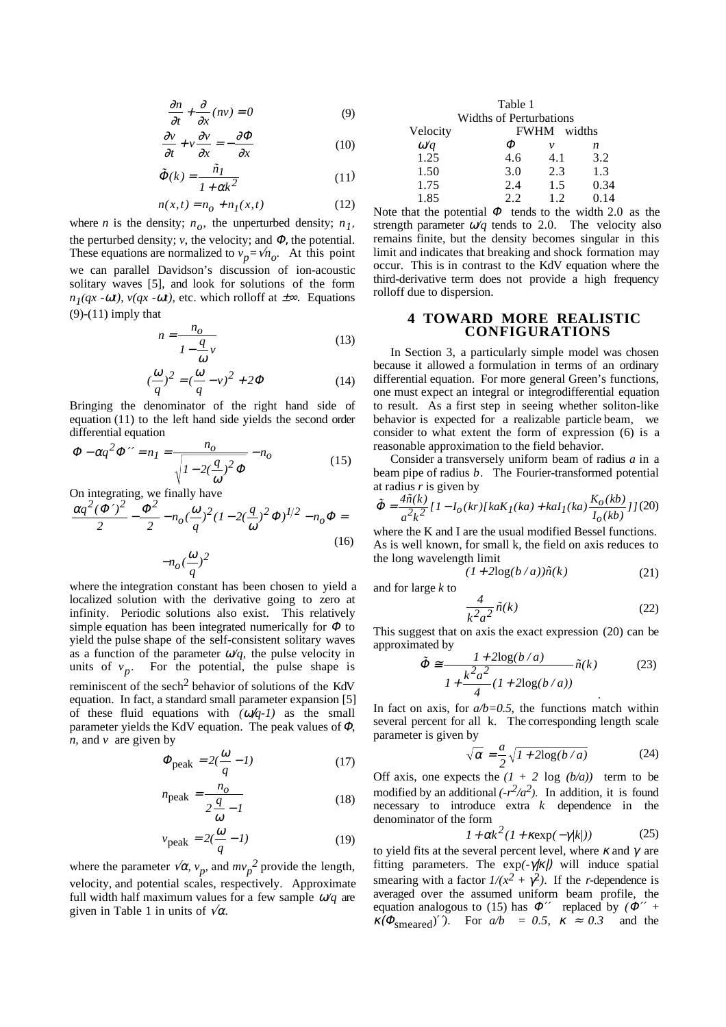$$
\frac{\partial n}{\partial t} + \frac{\partial}{\partial x}(nv) = 0\tag{9}
$$

$$
\frac{\partial v}{\partial t} + v \frac{\partial v}{\partial x} = -\frac{\partial \Phi}{\partial x}
$$
 (10)

$$
\tilde{\Phi}(k) = \frac{\tilde{n}_I}{I + \alpha k^2} \tag{11}
$$

$$
n(x, t) = n_0 + n_1(x, t)
$$
 (12)

where *n* is the density;  $n<sub>o</sub>$ , the unperturbed density;  $n<sub>1</sub>$ , the perturbed density;  $v$ , the velocity; and  $\Phi$ , the potential. These equations are normalized to  $v_p = \sqrt{n_o}$ . At this point we can parallel Davidson's discussion of ion-acoustic solitary waves [5], and look for solutions of the form  $n_1(qx - \omega t)$ ,  $v(qx - \omega t)$ , etc. which rolloff at  $\pm \infty$ . Equations  $(9)-(11)$  imply that

$$
n = \frac{n_o}{1 - \frac{q}{\omega}v} \tag{13}
$$

$$
\left(\frac{\omega}{q}\right)^2 = \left(\frac{\omega}{q} - v\right)^2 + 2\Phi\tag{14}
$$

Bringing the denominator of the right hand side of equation (11) to the left hand side yields the second order differential equation

$$
\Phi - \alpha q^2 \Phi^{\prime\prime} = n_I = \frac{n_o}{\sqrt{I - 2(\frac{q}{\omega})^2 \Phi}} - n_o \tag{15}
$$

On integrating, we finally have

$$
\frac{\alpha q^2 (\Phi')^2}{2} - \frac{\Phi^2}{2} - n_o(\frac{\omega}{q})^2 (1 - 2(\frac{q}{\omega})^2 \Phi)^{1/2} - n_o \Phi =
$$
  

$$
-n_o(\frac{\omega}{q})^2
$$
 (16)

where the integration constant has been chosen to yield a localized solution with the derivative going to zero at infinity. Periodic solutions also exist. This relatively simple equation has been integrated numerically for  $\Phi$  to yield the pulse shape of the self-consistent solitary waves as a function of the parameter  $\omega/q$ , the pulse velocity in units of  $v_p$ . For the potential, the pulse shape is reminiscent of the sech<sup>2</sup> behavior of solutions of the KdV equation. In fact, a standard small parameter expansion [5] of these fluid equations with  $(\omega/q-1)$  as the small parameter yields the KdV equation. The peak values of Φ, *n,* and *v* are given by

$$
\Phi_{\text{peak}} = 2(\frac{\omega}{q} - 1) \tag{17}
$$

$$
n_{\text{peak}} = \frac{n_o}{2\frac{q}{\omega} - 1} \tag{18}
$$

$$
v_{\text{peak}} = 2(\frac{\omega}{q} - 1) \tag{19}
$$

where the parameter  $\sqrt{\alpha}$ ,  $v_p$ , and  $mv_p^2$  provide the length, velocity, and potential scales, respectively. Approximate full width half maximum values for a few sample ω*/q* are given in Table 1 in units of  $\sqrt{\alpha}$ .

|                      | Table 1                        |             |                           |
|----------------------|--------------------------------|-------------|---------------------------|
|                      | <b>Widths of Perturbations</b> |             |                           |
| Velocity             |                                | FWHM widths |                           |
| $\omega/q$           | Ф                              | ν           | n                         |
| 1.25                 | 4.6                            | 4.1         | 3.2                       |
| 1.50                 | 3.0                            | 2.3         | 1.3                       |
| 1.75                 | 2.4                            | 1.5         | 0.34                      |
| 1.85                 | 2.2                            | 1.2         | 0.14                      |
| $27.7 - 11.7 - 11.7$ |                                |             | $\cdot$ 1.1 $\sim$ $\sim$ |

Note that the potential  $\Phi$  tends to the width 2.0 as the strength parameter  $\omega/q$  tends to 2.0. The velocity also remains finite, but the density becomes singular in this limit and indicates that breaking and shock formation may occur. This is in contrast to the KdV equation where the third-derivative term does not provide a high frequency rolloff due to dispersion.

#### **4 TOWARD MORE REALISTIC CONFIGURATIONS**

In Section 3, a particularly simple model was chosen because it allowed a formulation in terms of an ordinary differential equation. For more general Green's functions, one must expect an integral or integrodifferential equation to result. As a first step in seeing whether soliton-like behavior is expected for a realizable particle beam, we consider to what extent the form of expression (6) is a reasonable approximation to the field behavior.

Consider a transversely uniform beam of radius *a* in a beam pipe of radius *b*. The Fourier-transformed potential at radius *r* is given by

$$
\tilde{\Phi} = \frac{4\tilde{n}(k)}{a^2k^2} [1 - I_o(kr)[k aK_I(ka) + kaI_I(ka)\frac{K_o(kb)}{I_o(kb)}]]
$$
(20)

where the K and I are the usual modified Bessel functions. As is well known, for small k, the field on axis reduces to the long wavelength limit

$$
(1+2\log(b/a))\tilde{n}(k) \tag{21}
$$

and for large *k* to

$$
\frac{4}{k^2 a^2} \tilde{n}(k) \tag{22}
$$

This suggest that on axis the exact expression (20) can be approximated by

$$
\tilde{\Phi} \approx \frac{1 + 2\log(b/a)}{1 + \frac{k^2 a^2}{4} (1 + 2\log(b/a))} \tilde{n}(k)
$$
 (23)

In fact on axis, for  $a/b=0.5$ , the functions match within several percent for all k. The corresponding length scale parameter is given by

$$
\sqrt{\alpha} = \frac{a}{2} \sqrt{1 + 2\log(b/a)}
$$
 (24)

Off axis, one expects the  $(1 + 2 \log (b/a))$  term to be modified by an additional  $(-r^2/a^2)$ . In addition, it is found necessary to introduce extra *k* dependence in the denominator of the form

$$
1 + \alpha k^2 (1 + \kappa \exp(-\gamma |k|))
$$
 (25)

to yield fits at the several percent level, where  $\kappa$  and  $\gamma$  are fitting parameters. The exp*(-*γ|κ|) will induce spatial smearing with a factor  $1/(x^2 + \gamma^2)$ . If the *r*-dependence is averaged over the assumed uniform beam profile, the equation analogous to (15) has  $\Phi''$  replaced by  $(\Phi'' +$  $\kappa(\Phi_{\text{smeared}})'$ *'*). For  $a/b = 0.5$ ,  $\kappa \approx 0.3$  and the